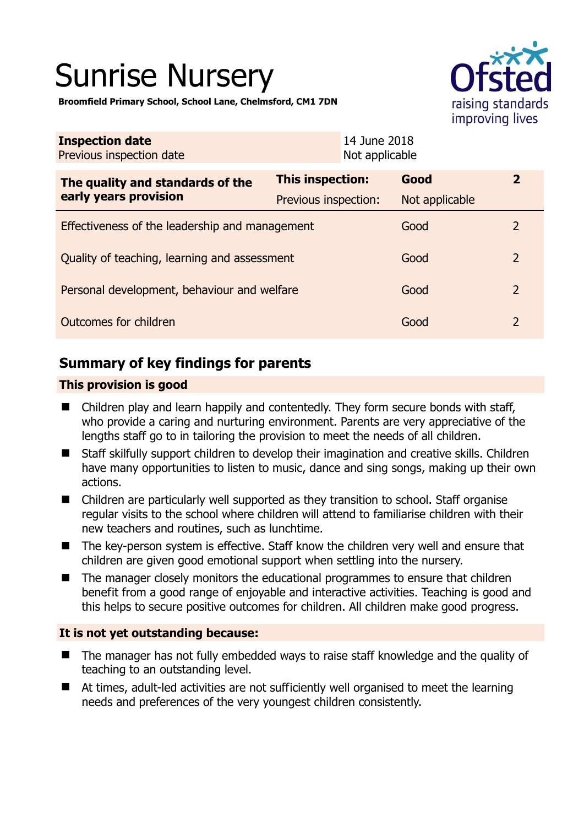# Sunrise Nursery



**Broomfield Primary School, School Lane, Chelmsford, CM1 7DN** 

| <b>Inspection date</b><br>Previous inspection date        | 14 June 2018<br>Not applicable           |                        |                |
|-----------------------------------------------------------|------------------------------------------|------------------------|----------------|
| The quality and standards of the<br>early years provision | This inspection:<br>Previous inspection: | Good<br>Not applicable | $\overline{2}$ |
| Effectiveness of the leadership and management            |                                          | Good                   | 2              |
| Quality of teaching, learning and assessment              |                                          | Good                   | $\overline{2}$ |
| Personal development, behaviour and welfare               |                                          | Good                   | $\overline{2}$ |
| Outcomes for children                                     |                                          | Good                   | $\overline{2}$ |

# **Summary of key findings for parents**

#### **This provision is good**

- Children play and learn happily and contentedly. They form secure bonds with staff, who provide a caring and nurturing environment. Parents are very appreciative of the lengths staff go to in tailoring the provision to meet the needs of all children.
- Staff skilfully support children to develop their imagination and creative skills. Children have many opportunities to listen to music, dance and sing songs, making up their own actions.
- Children are particularly well supported as they transition to school. Staff organise regular visits to the school where children will attend to familiarise children with their new teachers and routines, such as lunchtime.
- The key-person system is effective. Staff know the children very well and ensure that children are given good emotional support when settling into the nursery.
- The manager closely monitors the educational programmes to ensure that children benefit from a good range of enjoyable and interactive activities. Teaching is good and this helps to secure positive outcomes for children. All children make good progress.

## **It is not yet outstanding because:**

- The manager has not fully embedded ways to raise staff knowledge and the quality of teaching to an outstanding level.
- At times, adult-led activities are not sufficiently well organised to meet the learning needs and preferences of the very youngest children consistently.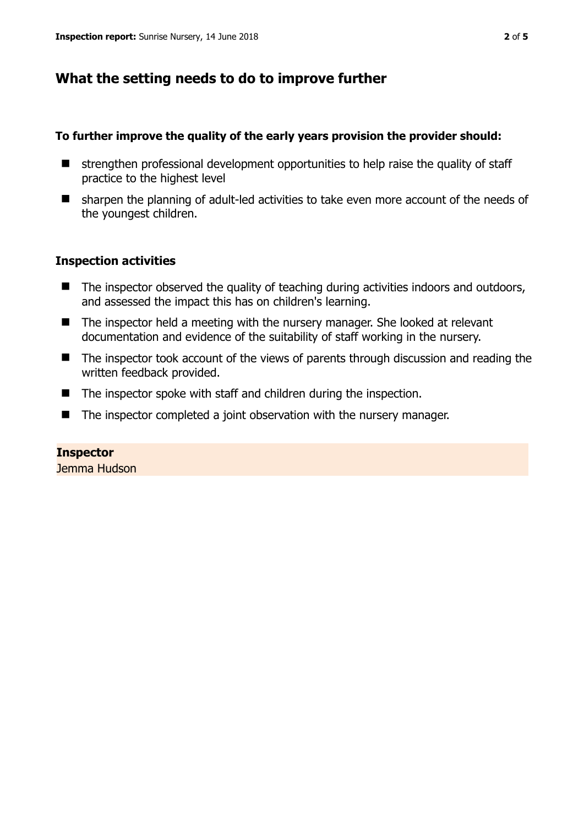## **What the setting needs to do to improve further**

#### **To further improve the quality of the early years provision the provider should:**

- $\blacksquare$  strengthen professional development opportunities to help raise the quality of staff practice to the highest level
- sharpen the planning of adult-led activities to take even more account of the needs of the youngest children.

#### **Inspection activities**

- The inspector observed the quality of teaching during activities indoors and outdoors, and assessed the impact this has on children's learning.
- The inspector held a meeting with the nursery manager. She looked at relevant documentation and evidence of the suitability of staff working in the nursery.
- The inspector took account of the views of parents through discussion and reading the written feedback provided.
- The inspector spoke with staff and children during the inspection.
- The inspector completed a joint observation with the nursery manager.

#### **Inspector**

Jemma Hudson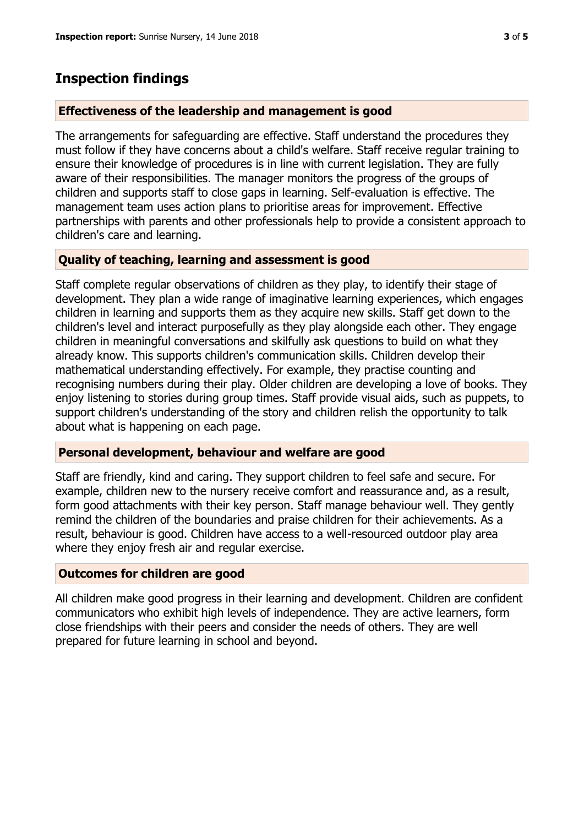## **Inspection findings**

#### **Effectiveness of the leadership and management is good**

The arrangements for safeguarding are effective. Staff understand the procedures they must follow if they have concerns about a child's welfare. Staff receive regular training to ensure their knowledge of procedures is in line with current legislation. They are fully aware of their responsibilities. The manager monitors the progress of the groups of children and supports staff to close gaps in learning. Self-evaluation is effective. The management team uses action plans to prioritise areas for improvement. Effective partnerships with parents and other professionals help to provide a consistent approach to children's care and learning.

## **Quality of teaching, learning and assessment is good**

Staff complete regular observations of children as they play, to identify their stage of development. They plan a wide range of imaginative learning experiences, which engages children in learning and supports them as they acquire new skills. Staff get down to the children's level and interact purposefully as they play alongside each other. They engage children in meaningful conversations and skilfully ask questions to build on what they already know. This supports children's communication skills. Children develop their mathematical understanding effectively. For example, they practise counting and recognising numbers during their play. Older children are developing a love of books. They enjoy listening to stories during group times. Staff provide visual aids, such as puppets, to support children's understanding of the story and children relish the opportunity to talk about what is happening on each page.

#### **Personal development, behaviour and welfare are good**

Staff are friendly, kind and caring. They support children to feel safe and secure. For example, children new to the nursery receive comfort and reassurance and, as a result, form good attachments with their key person. Staff manage behaviour well. They gently remind the children of the boundaries and praise children for their achievements. As a result, behaviour is good. Children have access to a well-resourced outdoor play area where they enjoy fresh air and regular exercise.

#### **Outcomes for children are good**

All children make good progress in their learning and development. Children are confident communicators who exhibit high levels of independence. They are active learners, form close friendships with their peers and consider the needs of others. They are well prepared for future learning in school and beyond.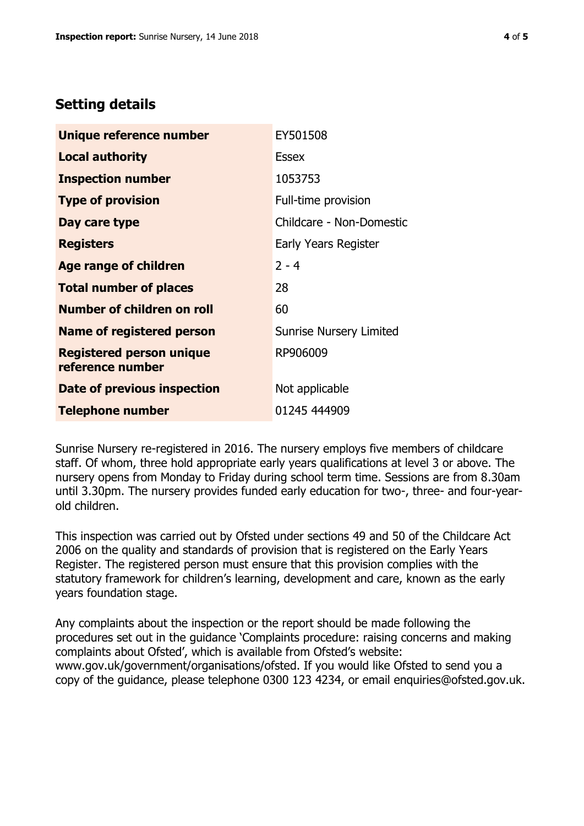## **Setting details**

| Unique reference number                             | EY501508                       |
|-----------------------------------------------------|--------------------------------|
| <b>Local authority</b>                              | <b>Essex</b>                   |
| <b>Inspection number</b>                            | 1053753                        |
| <b>Type of provision</b>                            | Full-time provision            |
| Day care type                                       | Childcare - Non-Domestic       |
| <b>Registers</b>                                    | Early Years Register           |
| <b>Age range of children</b>                        | $2 - 4$                        |
| <b>Total number of places</b>                       | 28                             |
| <b>Number of children on roll</b>                   | 60                             |
| <b>Name of registered person</b>                    | <b>Sunrise Nursery Limited</b> |
| <b>Registered person unique</b><br>reference number | RP906009                       |
| Date of previous inspection                         | Not applicable                 |
| <b>Telephone number</b>                             | 01245 444909                   |

Sunrise Nursery re-registered in 2016. The nursery employs five members of childcare staff. Of whom, three hold appropriate early years qualifications at level 3 or above. The nursery opens from Monday to Friday during school term time. Sessions are from 8.30am until 3.30pm. The nursery provides funded early education for two-, three- and four-yearold children.

This inspection was carried out by Ofsted under sections 49 and 50 of the Childcare Act 2006 on the quality and standards of provision that is registered on the Early Years Register. The registered person must ensure that this provision complies with the statutory framework for children's learning, development and care, known as the early years foundation stage.

Any complaints about the inspection or the report should be made following the procedures set out in the guidance 'Complaints procedure: raising concerns and making complaints about Ofsted', which is available from Ofsted's website: www.gov.uk/government/organisations/ofsted. If you would like Ofsted to send you a copy of the guidance, please telephone 0300 123 4234, or email enquiries@ofsted.gov.uk.